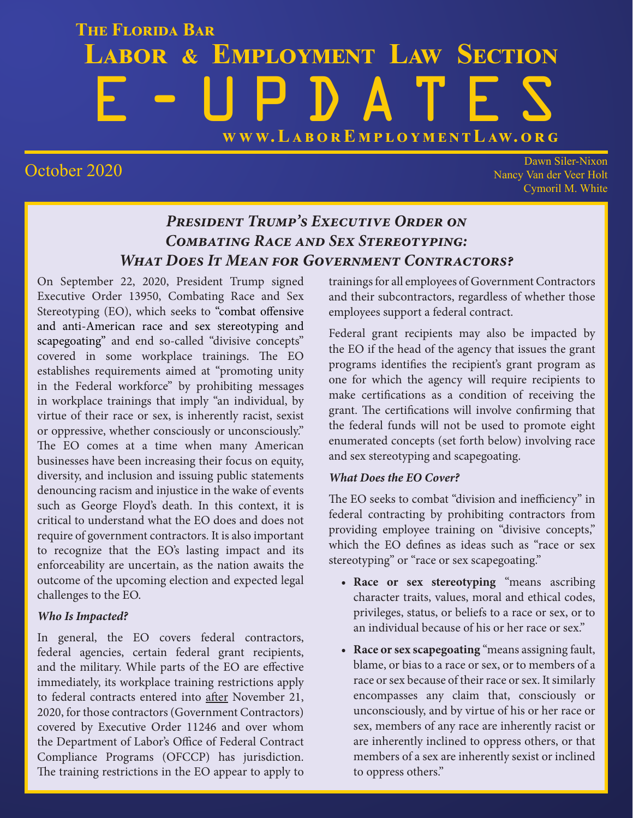# **THE FLORIDA BAR LABOR & EMPLOYMENT LAW SECTION** E-UPDATES **WWW.L[ABOREMPLOYMENTLAW.ORG](http://www.laboremploymentlaw.org/)**

October 2020 Dawn Siler-Nixon Nancy Van der Veer Holt Cymoril M. White

### *President Trump's Executive Order on Combating Race and Sex Stereotyping: What Does It Mean for Government Contractors?*

On September 22, 2020, President Trump signed Executive Order 13950, Combating Race and Sex Stereotyping (EO), which seeks to "combat offensive and anti-American race and sex stereotyping and scapegoating" and end so-called "divisive concepts" covered in some workplace trainings. The EO establishes requirements aimed at "promoting unity in the Federal workforce" by prohibiting messages in workplace trainings that imply "an individual, by virtue of their race or sex, is inherently racist, sexist or oppressive, whether consciously or unconsciously." The EO comes at a time when many American businesses have been increasing their focus on equity, diversity, and inclusion and issuing public statements denouncing racism and injustice in the wake of events such as George Floyd's death. In this context, it is critical to understand what the EO does and does not require of government contractors. It is also important to recognize that the EO's lasting impact and its enforceability are uncertain, as the nation awaits the outcome of the upcoming election and expected legal challenges to the EO.

### *Who Is Impacted?*

In general, the EO covers federal contractors, federal agencies, certain federal grant recipients, and the military. While parts of the EO are effective immediately, its workplace training restrictions apply to federal contracts entered into after November 21, 2020, for those contractors (Government Contractors) covered by Executive Order 11246 and over whom the Department of Labor's Office of Federal Contract Compliance Programs (OFCCP) has jurisdiction. The training restrictions in the EO appear to apply to

trainings for all employees of Government Contractors and their subcontractors, regardless of whether those employees support a federal contract.

Federal grant recipients may also be impacted by the EO if the head of the agency that issues the grant programs identifies the recipient's grant program as one for which the agency will require recipients to make certifications as a condition of receiving the grant. The certifications will involve confirming that the federal funds will not be used to promote eight enumerated concepts (set forth below) involving race and sex stereotyping and scapegoating.

### *What Does the EO Cover?*

The EO seeks to combat "division and inefficiency" in federal contracting by prohibiting contractors from providing employee training on "divisive concepts," which the EO defines as ideas such as "race or sex stereotyping" or "race or sex scapegoating."

- **• Race or sex stereotyping** "means ascribing character traits, values, moral and ethical codes, privileges, status, or beliefs to a race or sex, or to an individual because of his or her race or sex."
- **• Race or sex scapegoating** "means assigning fault, blame, or bias to a race or sex, or to members of a race or sex because of their race or sex. It similarly encompasses any claim that, consciously or unconsciously, and by virtue of his or her race or sex, members of any race are inherently racist or are inherently inclined to oppress others, or that members of a sex are inherently sexist or inclined to oppress others."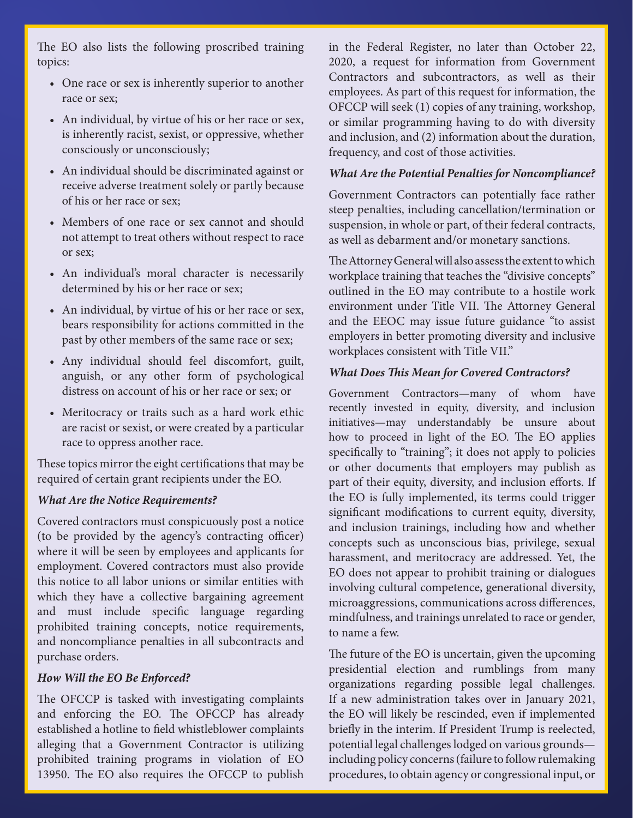The EO also lists the following proscribed training topics:

- One race or sex is inherently superior to another race or sex;
- An individual, by virtue of his or her race or sex, is inherently racist, sexist, or oppressive, whether consciously or unconsciously;
- An individual should be discriminated against or receive adverse treatment solely or partly because of his or her race or sex;
- Members of one race or sex cannot and should not attempt to treat others without respect to race or sex;
- An individual's moral character is necessarily determined by his or her race or sex;
- An individual, by virtue of his or her race or sex, bears responsibility for actions committed in the past by other members of the same race or sex;
- Any individual should feel discomfort, guilt, anguish, or any other form of psychological distress on account of his or her race or sex; or
- Meritocracy or traits such as a hard work ethic are racist or sexist, or were created by a particular race to oppress another race.

These topics mirror the eight certifications that may be required of certain grant recipients under the EO.

#### *What Are the Notice Requirements?*

Covered contractors must conspicuously post a notice (to be provided by the agency's contracting officer) where it will be seen by employees and applicants for employment. Covered contractors must also provide this notice to all labor unions or similar entities with which they have a collective bargaining agreement and must include specific language regarding prohibited training concepts, notice requirements, and noncompliance penalties in all subcontracts and purchase orders.

#### *How Will the EO Be Enforced?*

The OFCCP is tasked with investigating complaints and enforcing the EO. The OFCCP has already established a hotline to field whistleblower complaints alleging that a Government Contractor is utilizing prohibited training programs in violation of EO 13950. The EO also requires the OFCCP to publish

in the Federal Register, no later than October 22, 2020, a request for information from Government Contractors and subcontractors, as well as their employees. As part of this request for information, the OFCCP will seek (1) copies of any training, workshop, or similar programming having to do with diversity and inclusion, and (2) information about the duration, frequency, and cost of those activities.

#### *What Are the Potential Penalties for Noncompliance?*

Government Contractors can potentially face rather steep penalties, including cancellation/termination or suspension, in whole or part, of their federal contracts, as well as debarment and/or monetary sanctions.

The Attorney General will also assess the extent to which workplace training that teaches the "divisive concepts" outlined in the EO may contribute to a hostile work environment under Title VII. The Attorney General and the EEOC may issue future guidance "to assist employers in better promoting diversity and inclusive workplaces consistent with Title VII."

#### *What Does This Mean for Covered Contractors?*

Government Contractors—many of whom have recently invested in equity, diversity, and inclusion initiatives—may understandably be unsure about how to proceed in light of the EO. The EO applies specifically to "training"; it does not apply to policies or other documents that employers may publish as part of their equity, diversity, and inclusion efforts. If the EO is fully implemented, its terms could trigger significant modifications to current equity, diversity, and inclusion trainings, including how and whether concepts such as unconscious bias, privilege, sexual harassment, and meritocracy are addressed. Yet, the EO does not appear to prohibit training or dialogues involving cultural competence, generational diversity, microaggressions, communications across differences, mindfulness, and trainings unrelated to race or gender, to name a few.

The future of the EO is uncertain, given the upcoming presidential election and rumblings from many organizations regarding possible legal challenges. If a new administration takes over in January 2021, the EO will likely be rescinded, even if implemented briefly in the interim. If President Trump is reelected, potential legal challenges lodged on various grounds including policy concerns (failure to follow rulemaking procedures, to obtain agency or congressional input, or